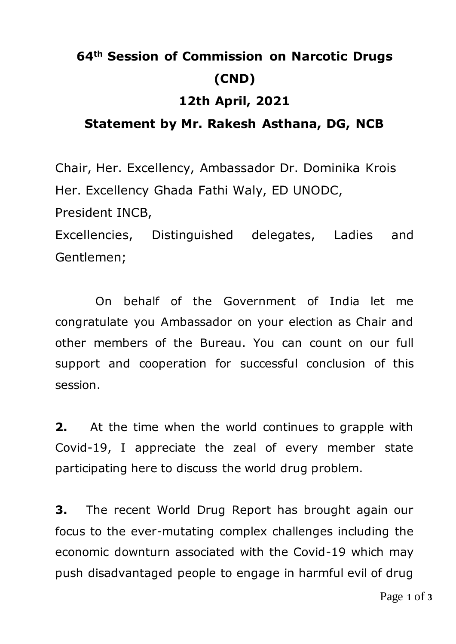## **64th Session of Commission on Narcotic Drugs (CND) 12th April, 2021 Statement by Mr. Rakesh Asthana, DG, NCB**

Chair, Her. Excellency, Ambassador Dr. Dominika Krois Her. Excellency Ghada Fathi Waly, ED UNODC, President INCB, Excellencies, Distinguished delegates, Ladies and Gentlemen;

 On behalf of the Government of India let me congratulate you Ambassador on your election as Chair and other members of the Bureau. You can count on our full support and cooperation for successful conclusion of this session.

**2.** At the time when the world continues to grapple with Covid-19, I appreciate the zeal of every member state participating here to discuss the world drug problem.

**3.** The recent World Drug Report has brought again our focus to the ever-mutating complex challenges including the economic downturn associated with the Covid-19 which may push disadvantaged people to engage in harmful evil of drug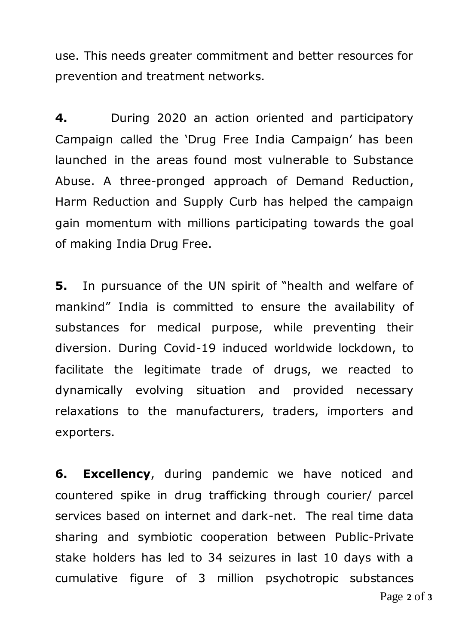use. This needs greater commitment and better resources for prevention and treatment networks.

**4.** During 2020 an action oriented and participatory Campaign called the 'Drug Free India Campaign' has been launched in the areas found most vulnerable to Substance Abuse. A three-pronged approach of Demand Reduction, Harm Reduction and Supply Curb has helped the campaign gain momentum with millions participating towards the goal of making India Drug Free.

**5.** In pursuance of the UN spirit of "health and welfare of mankind" India is committed to ensure the availability of substances for medical purpose, while preventing their diversion. During Covid-19 induced worldwide lockdown, to facilitate the legitimate trade of drugs, we reacted to dynamically evolving situation and provided necessary relaxations to the manufacturers, traders, importers and exporters.

**6. Excellency**, during pandemic we have noticed and countered spike in drug trafficking through courier/ parcel services based on internet and dark-net. The real time data sharing and symbiotic cooperation between Public-Private stake holders has led to 34 seizures in last 10 days with a cumulative figure of 3 million psychotropic substances